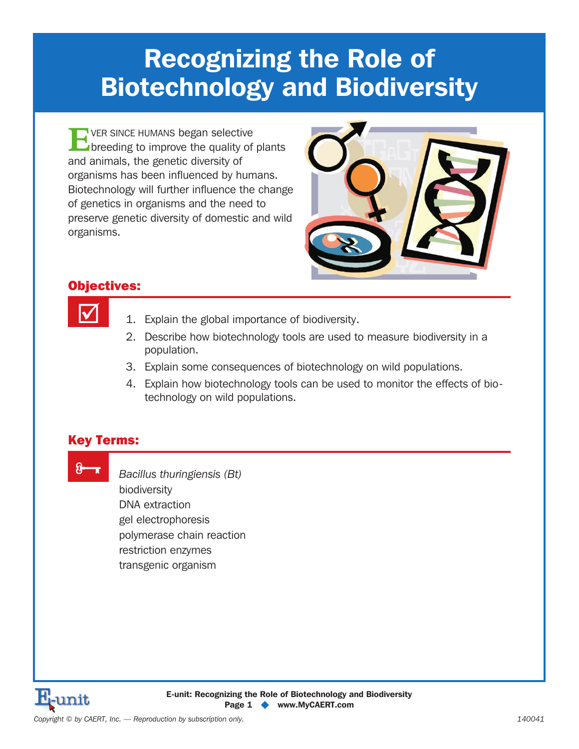# **Recognizing the Role of Biotechnology and Biodiversity**

**E**VER SINCE HUMANS began selective<br>breeding to improve the quality of plants and animals, the genetic diversity of organisms has been influenced by humans. Biotechnology will further influence the change of genetics in organisms and the need to preserve genetic diversity of domestic and wild organisms.



### Objectives:



- 1. Explain the global importance of biodiversity.
- 2. Describe how biotechnology tools are used to measure biodiversity in a population.
- 3. Explain some consequences of biotechnology on wild populations.
- 4. Explain how biotechnology tools can be used to monitor the effects of biotechnology on wild populations.

### Key Terms:

8 x

 *Bacillus thuringiensis (Bt)* biodiversity DNA extraction gel electrophoresis polymerase chain reaction restriction enzymes transgenic organism

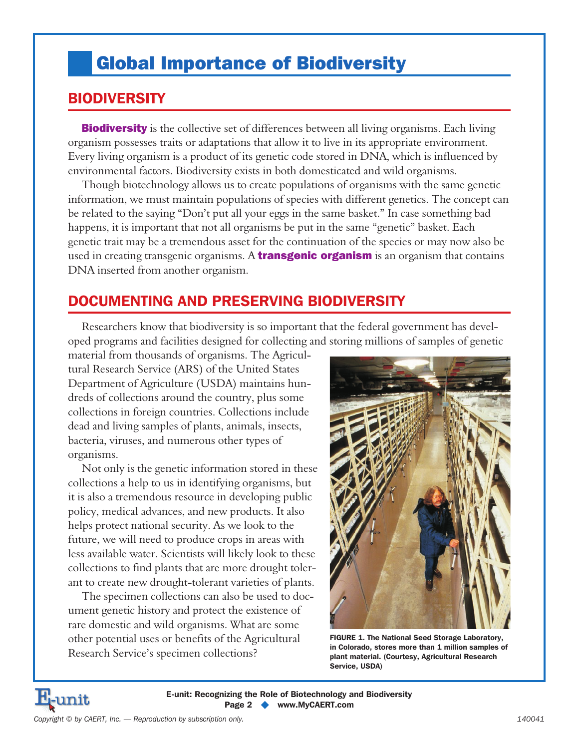## Global Importance of Biodiversity

## **BIODIVERSITY**

**Biodiversity** is the collective set of differences between all living organisms. Each living organism possesses traits or adaptations that allow it to live in its appropriate environment. Every living organism is a product of its genetic code stored in DNA, which is influenced by environmental factors. Biodiversity exists in both domesticated and wild organisms.

Though biotechnology allows us to create populations of organisms with the same genetic information, we must maintain populations of species with different genetics. The concept can be related to the saying "Don't put all your eggs in the same basket." In case something bad happens, it is important that not all organisms be put in the same "genetic" basket. Each genetic trait may be a tremendous asset for the continuation of the species or may now also be used in creating transgenic organisms. A **transgenic organism** is an organism that contains DNA inserted from another organism.

## **DOCUMENTING AND PRESERVING BIODIVERSITY**

Researchers know that biodiversity is so important that the federal government has developed programs and facilities designed for collecting and storing millions of samples of genetic

material from thousands of organisms. The Agricultural Research Service (ARS) of the United States Department of Agriculture (USDA) maintains hundreds of collections around the country, plus some collections in foreign countries. Collections include dead and living samples of plants, animals, insects, bacteria, viruses, and numerous other types of organisms.

Not only is the genetic information stored in these collections a help to us in identifying organisms, but it is also a tremendous resource in developing public policy, medical advances, and new products. It also helps protect national security. As we look to the future, we will need to produce crops in areas with less available water. Scientists will likely look to these collections to find plants that are more drought tolerant to create new drought-tolerant varieties of plants.

The specimen collections can also be used to document genetic history and protect the existence of rare domestic and wild organisms. What are some other potential uses or benefits of the Agricultural Research Service's specimen collections?



**FIGURE 1. The National Seed Storage Laboratory, in Colorado, stores more than 1 million samples of plant material. (Courtesy, Agricultural Research Service, USDA)**

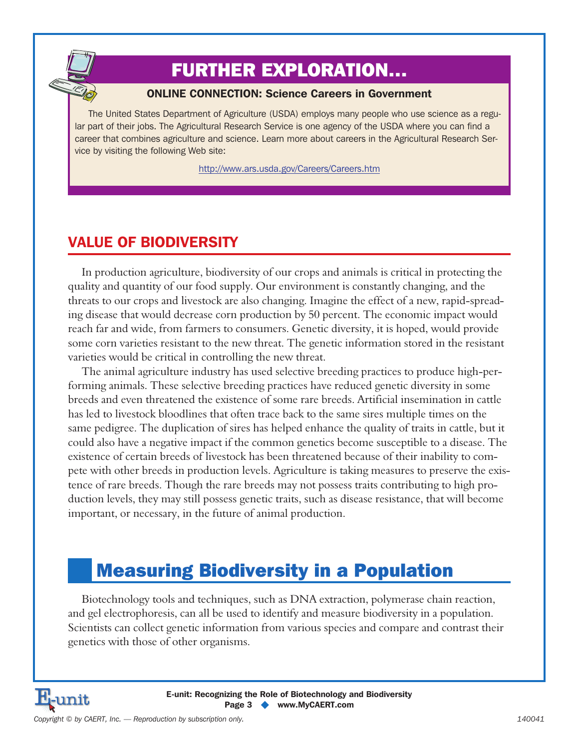## FURTHER EXPLORATION…

#### **ONLINE CONNECTION: Science Careers in Government**

The United States Department of Agriculture (USDA) employs many people who use science as a regular part of their jobs. The Agricultural Research Service is one agency of the USDA where you can find a career that combines agriculture and science. Learn more about careers in the Agricultural Research Service by visiting the following Web site:

http://www.ars.usda.gov/Careers/Careers.htm

## **VALUE OF BIODIVERSITY**

In production agriculture, biodiversity of our crops and animals is critical in protecting the quality and quantity of our food supply. Our environment is constantly changing, and the threats to our crops and livestock are also changing. Imagine the effect of a new, rapid-spreading disease that would decrease corn production by 50 percent. The economic impact would reach far and wide, from farmers to consumers. Genetic diversity, it is hoped, would provide some corn varieties resistant to the new threat. The genetic information stored in the resistant varieties would be critical in controlling the new threat.

The animal agriculture industry has used selective breeding practices to produce high-performing animals. These selective breeding practices have reduced genetic diversity in some breeds and even threatened the existence of some rare breeds. Artificial insemination in cattle has led to livestock bloodlines that often trace back to the same sires multiple times on the same pedigree. The duplication of sires has helped enhance the quality of traits in cattle, but it could also have a negative impact if the common genetics become susceptible to a disease. The existence of certain breeds of livestock has been threatened because of their inability to compete with other breeds in production levels. Agriculture is taking measures to preserve the existence of rare breeds. Though the rare breeds may not possess traits contributing to high production levels, they may still possess genetic traits, such as disease resistance, that will become important, or necessary, in the future of animal production.

## Measuring Biodiversity in a Population

Biotechnology tools and techniques, such as DNA extraction, polymerase chain reaction, and gel electrophoresis, can all be used to identify and measure biodiversity in a population. Scientists can collect genetic information from various species and compare and contrast their genetics with those of other organisms.

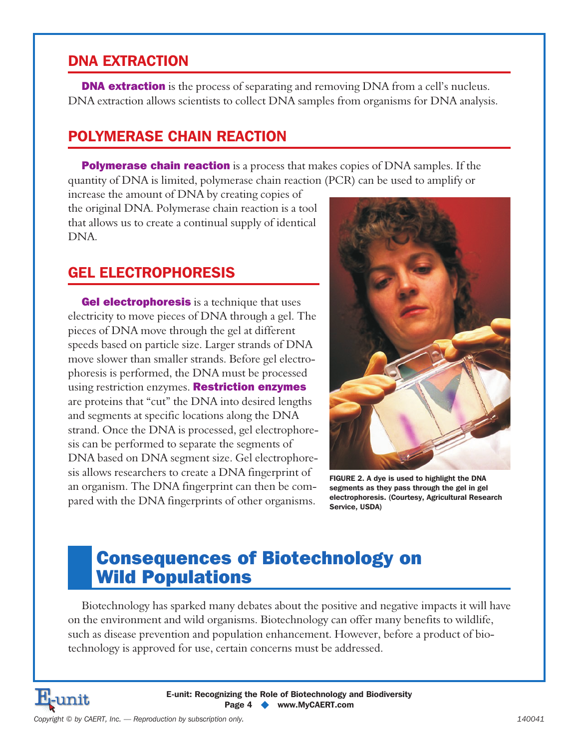### **DNA EXTRACTION**

**DNA extraction** is the process of separating and removing DNA from a cell's nucleus. DNA extraction allows scientists to collect DNA samples from organisms for DNA analysis.

### **POLYMERASE CHAIN REACTION**

**Polymerase chain reaction** is a process that makes copies of DNA samples. If the quantity of DNA is limited, polymerase chain reaction (PCR) can be used to amplify or

increase the amount of DNA by creating copies of the original DNA. Polymerase chain reaction is a tool that allows us to create a continual supply of identical DNA.

## **GEL ELECTROPHORESIS**

**Gel electrophoresis** is a technique that uses electricity to move pieces of DNA through a gel. The pieces of DNA move through the gel at different speeds based on particle size. Larger strands of DNA move slower than smaller strands. Before gel electrophoresis is performed, the DNA must be processed using restriction enzymes. **Restriction enzymes** are proteins that "cut" the DNA into desired lengths and segments at specific locations along the DNA strand. Once the DNA is processed, gel electrophoresis can be performed to separate the segments of DNA based on DNA segment size. Gel electrophoresis allows researchers to create a DNA fingerprint of an organism. The DNA fingerprint can then be compared with the DNA fingerprints of other organisms.



**FIGURE 2. A dye is used to highlight the DNA segments as they pass through the gel in gel electrophoresis. (Courtesy, Agricultural Research Service, USDA)**

## Consequences of Biotechnology on Wild Populations

Biotechnology has sparked many debates about the positive and negative impacts it will have on the environment and wild organisms. Biotechnology can offer many benefits to wildlife, such as disease prevention and population enhancement. However, before a product of biotechnology is approved for use, certain concerns must be addressed.

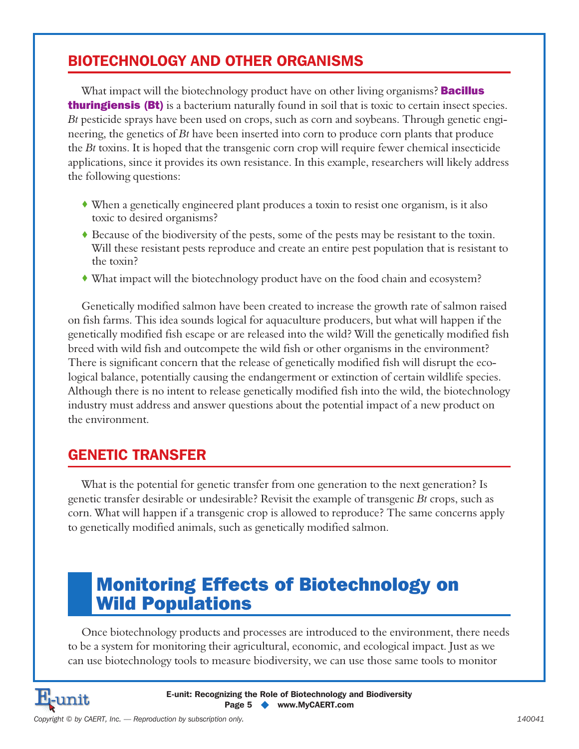## **BIOTECHNOLOGY AND OTHER ORGANISMS**

What impact will the biotechnology product have on other living organisms? **Bacillus thuringiensis (Bt)** is a bacterium naturally found in soil that is toxic to certain insect species. *Bt* pesticide sprays have been used on crops, such as corn and soybeans. Through genetic engineering, the genetics of *Bt* have been inserted into corn to produce corn plants that produce the *Bt* toxins. It is hoped that the transgenic corn crop will require fewer chemical insecticide applications, since it provides its own resistance. In this example, researchers will likely address the following questions:

- When a genetically engineered plant produces a toxin to resist one organism, is it also toxic to desired organisms?
- Because of the biodiversity of the pests, some of the pests may be resistant to the toxin. Will these resistant pests reproduce and create an entire pest population that is resistant to the toxin?
- What impact will the biotechnology product have on the food chain and ecosystem?

Genetically modified salmon have been created to increase the growth rate of salmon raised on fish farms. This idea sounds logical for aquaculture producers, but what will happen if the genetically modified fish escape or are released into the wild? Will the genetically modified fish breed with wild fish and outcompete the wild fish or other organisms in the environment? There is significant concern that the release of genetically modified fish will disrupt the ecological balance, potentially causing the endangerment or extinction of certain wildlife species. Although there is no intent to release genetically modified fish into the wild, the biotechnology industry must address and answer questions about the potential impact of a new product on the environment.

## **GENETIC TRANSFER**

What is the potential for genetic transfer from one generation to the next generation? Is genetic transfer desirable or undesirable? Revisit the example of transgenic *Bt* crops, such as corn. What will happen if a transgenic crop is allowed to reproduce? The same concerns apply to genetically modified animals, such as genetically modified salmon.

## Monitoring Effects of Biotechnology on Wild Populations

Once biotechnology products and processes are introduced to the environment, there needs to be a system for monitoring their agricultural, economic, and ecological impact. Just as we can use biotechnology tools to measure biodiversity, we can use those same tools to monitor



**E-unit: Recognizing the Role of Biotechnology and Biodiversity Page 5 - www.MyCAERT.com**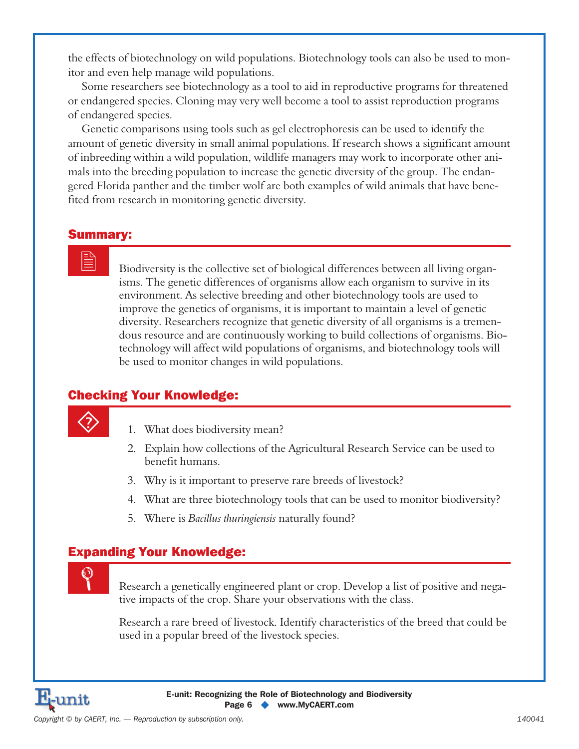the effects of biotechnology on wild populations. Biotechnology tools can also be used to monitor and even help manage wild populations.

Some researchers see biotechnology as a tool to aid in reproductive programs for threatened or endangered species. Cloning may very well become a tool to assist reproduction programs of endangered species.

Genetic comparisons using tools such as gel electrophoresis can be used to identify the amount of genetic diversity in small animal populations. If research shows a significant amount of inbreeding within a wild population, wildlife managers may work to incorporate other animals into the breeding population to increase the genetic diversity of the group. The endangered Florida panther and the timber wolf are both examples of wild animals that have benefited from research in monitoring genetic diversity.

#### Summary:

 Biodiversity is the collective set of biological differences between all living organisms. The genetic differences of organisms allow each organism to survive in its environment. As selective breeding and other biotechnology tools are used to improve the genetics of organisms, it is important to maintain a level of genetic diversity. Researchers recognize that genetic diversity of all organisms is a tremendous resource and are continuously working to build collections of organisms. Biotechnology will affect wild populations of organisms, and biotechnology tools will be used to monitor changes in wild populations.

### Checking Your Knowledge:

- 1. What does biodiversity mean?
- 2. Explain how collections of the Agricultural Research Service can be used to benefit humans.
- 3. Why is it important to preserve rare breeds of livestock?
- 4. What are three biotechnology tools that can be used to monitor biodiversity?
- 5. Where is *Bacillus thuringiensis* naturally found?

### Expanding Your Knowledge:

 Research a genetically engineered plant or crop. Develop a list of positive and negative impacts of the crop. Share your observations with the class.

Research a rare breed of livestock. Identify characteristics of the breed that could be used in a popular breed of the livestock species.